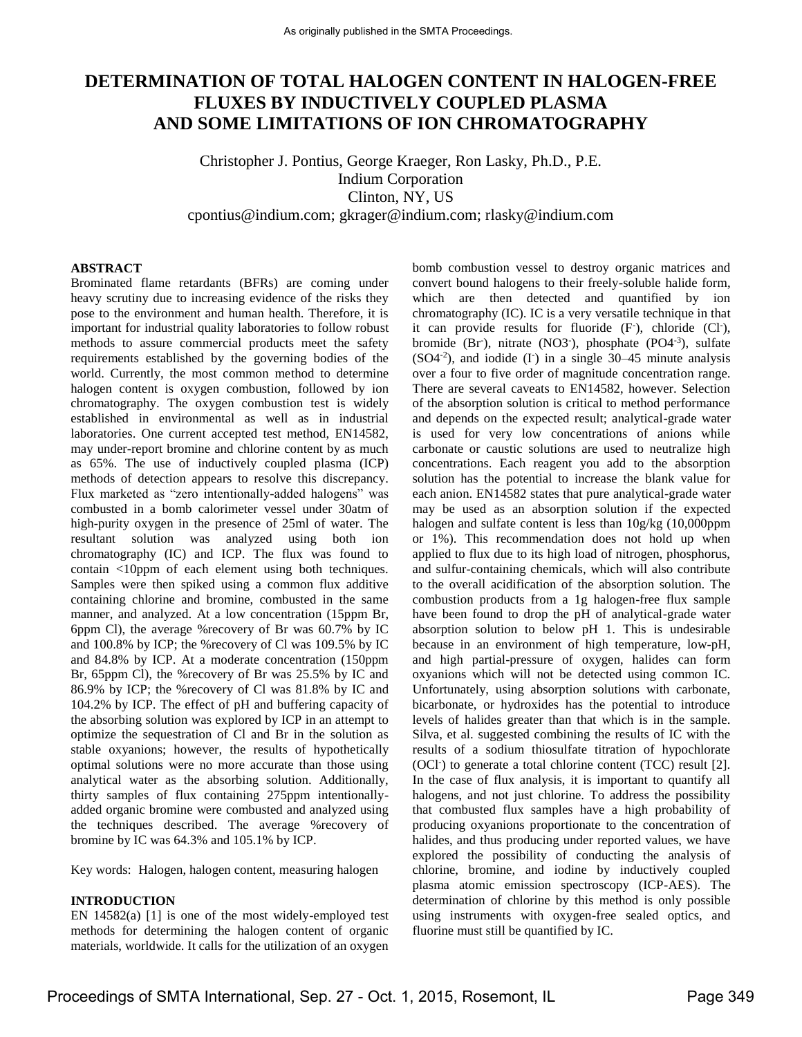# **DETERMINATION OF TOTAL HALOGEN CONTENT IN HALOGEN-FREE FLUXES BY INDUCTIVELY COUPLED PLASMA AND SOME LIMITATIONS OF ION CHROMATOGRAPHY**

Christopher J. Pontius, George Kraeger, Ron Lasky, Ph.D., P.E. Indium Corporation Clinton, NY, US [cpontius@indium.com;](mailto:cpontius@indium.com) [gkrager@indium.com;](mailto:gkrager@indium.com) [rlasky@indium.com](mailto:rlasky@indium.com)

#### **ABSTRACT**

Brominated flame retardants (BFRs) are coming under heavy scrutiny due to increasing evidence of the risks they pose to the environment and human health. Therefore, it is important for industrial quality laboratories to follow robust methods to assure commercial products meet the safety requirements established by the governing bodies of the world. Currently, the most common method to determine halogen content is oxygen combustion, followed by ion chromatography. The oxygen combustion test is widely established in environmental as well as in industrial laboratories. One current accepted test method, EN14582, may under-report bromine and chlorine content by as much as 65%. The use of inductively coupled plasma (ICP) methods of detection appears to resolve this discrepancy. Flux marketed as "zero intentionally-added halogens" was combusted in a bomb calorimeter vessel under 30atm of high-purity oxygen in the presence of 25ml of water. The resultant solution was analyzed using both ion chromatography (IC) and ICP. The flux was found to contain <10ppm of each element using both techniques. Samples were then spiked using a common flux additive containing chlorine and bromine, combusted in the same manner, and analyzed. At a low concentration (15ppm Br, 6ppm Cl), the average %recovery of Br was 60.7% by IC and 100.8% by ICP; the %recovery of Cl was 109.5% by IC and 84.8% by ICP. At a moderate concentration (150ppm Br, 65ppm Cl), the %recovery of Br was 25.5% by IC and 86.9% by ICP; the %recovery of Cl was 81.8% by IC and 104.2% by ICP. The effect of pH and buffering capacity of the absorbing solution was explored by ICP in an attempt to optimize the sequestration of Cl and Br in the solution as stable oxyanions; however, the results of hypothetically optimal solutions were no more accurate than those using analytical water as the absorbing solution. Additionally, thirty samples of flux containing 275ppm intentionallyadded organic bromine were combusted and analyzed using the techniques described. The average %recovery of bromine by IC was 64.3% and 105.1% by ICP.

Key words: Halogen, halogen content, measuring halogen

#### **INTRODUCTION**

EN 14582(a) [1] is one of the most widely-employed test methods for determining the halogen content of organic materials, worldwide. It calls for the utilization of an oxygen

bomb combustion vessel to destroy organic matrices and convert bound halogens to their freely-soluble halide form, which are then detected and quantified by ion chromatography (IC). IC is a very versatile technique in that it can provide results for fluoride (F), chloride (Cl-), bromide (Br<sup>-</sup>), nitrate (NO3<sup>-</sup>), phosphate (PO4<sup>-3</sup>), sulfate  $(SO4<sup>-2</sup>)$ , and iodide (I<sup>-</sup>) in a single 30–45 minute analysis over a four to five order of magnitude concentration range. There are several caveats to EN14582, however. Selection of the absorption solution is critical to method performance and depends on the expected result; analytical-grade water is used for very low concentrations of anions while carbonate or caustic solutions are used to neutralize high concentrations. Each reagent you add to the absorption solution has the potential to increase the blank value for each anion. EN14582 states that pure analytical-grade water may be used as an absorption solution if the expected halogen and sulfate content is less than 10g/kg (10,000ppm or 1%). This recommendation does not hold up when applied to flux due to its high load of nitrogen, phosphorus, and sulfur-containing chemicals, which will also contribute to the overall acidification of the absorption solution. The combustion products from a 1g halogen-free flux sample have been found to drop the pH of analytical-grade water absorption solution to below pH 1. This is undesirable because in an environment of high temperature, low-pH, and high partial-pressure of oxygen, halides can form oxyanions which will not be detected using common IC. Unfortunately, using absorption solutions with carbonate, bicarbonate, or hydroxides has the potential to introduce levels of halides greater than that which is in the sample. Silva, et al. suggested combining the results of IC with the results of a sodium thiosulfate titration of hypochlorate (OCl<sup>-</sup>) to generate a total chlorine content (TCC) result [2]. In the case of flux analysis, it is important to quantify all halogens, and not just chlorine. To address the possibility that combusted flux samples have a high probability of producing oxyanions proportionate to the concentration of halides, and thus producing under reported values, we have explored the possibility of conducting the analysis of chlorine, bromine, and iodine by inductively coupled plasma atomic emission spectroscopy (ICP-AES). The determination of chlorine by this method is only possible using instruments with oxygen-free sealed optics, and fluorine must still be quantified by IC.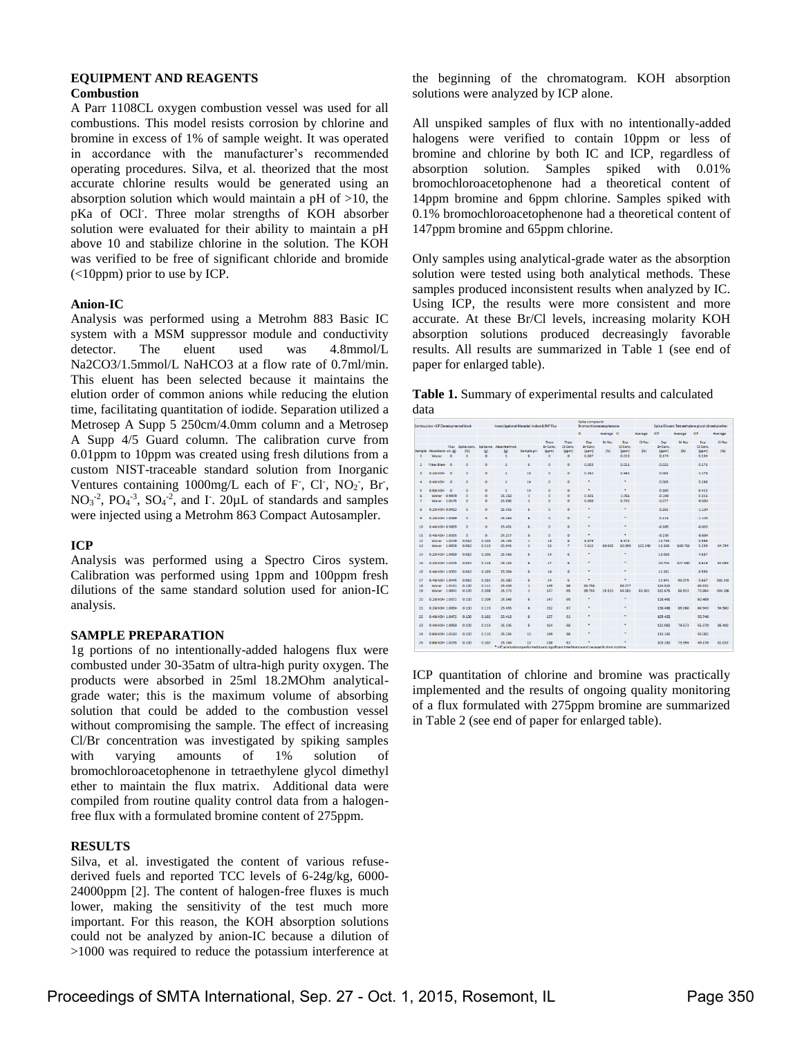#### **EQUIPMENT AND REAGENTS Combustion**

A Parr 1108CL oxygen combustion vessel was used for all combustions. This model resists corrosion by chlorine and bromine in excess of 1% of sample weight. It was operated in accordance with the manufacturer's recommended operating procedures. Silva, et al. theorized that the most accurate chlorine results would be generated using an absorption solution which would maintain a pH of >10, the pKa of OCl- . Three molar strengths of KOH absorber solution were evaluated for their ability to maintain a pH above 10 and stabilize chlorine in the solution. The KOH was verified to be free of significant chloride and bromide (<10ppm) prior to use by ICP.

## **Anion-IC**

Analysis was performed using a Metrohm 883 Basic IC system with a MSM suppressor module and conductivity detector. The eluent used was 4.8mmol/L Na2CO3/1.5mmol/L NaHCO3 at a flow rate of 0.7ml/min. This eluent has been selected because it maintains the elution order of common anions while reducing the elution time, facilitating quantitation of iodide. Separation utilized a Metrosep A Supp 5 250cm/4.0mm column and a Metrosep A Supp 4/5 Guard column. The calibration curve from 0.01ppm to 10ppm was created using fresh dilutions from a custom NIST-traceable standard solution from Inorganic Ventures containing  $1000$ mg/L each of F<sup>-</sup>, Cl<sup>-</sup>, NO<sub>2</sub><sup>-</sup>, Br<sup>-</sup>,  $NO<sub>3</sub><sup>-2</sup>, PO<sub>4</sub><sup>-3</sup>, SO<sub>4</sub><sup>-2</sup>, and I. 20<sub>µ</sub>L of standards and samples$ were injected using a Metrohm 863 Compact Autosampler.

## **ICP**

Analysis was performed using a Spectro Ciros system. Calibration was performed using 1ppm and 100ppm fresh dilutions of the same standard solution used for anion-IC analysis.

#### **SAMPLE PREPARATION**

1g portions of no intentionally-added halogens flux were combusted under 30-35atm of ultra-high purity oxygen. The products were absorbed in 25ml 18.2MOhm analyticalgrade water; this is the maximum volume of absorbing solution that could be added to the combustion vessel without compromising the sample. The effect of increasing Cl/Br concentration was investigated by spiking samples with varying amounts of 1% solution of bromochloroacetophenone in tetraethylene glycol dimethyl ether to maintain the flux matrix. Additional data were compiled from routine quality control data from a halogenfree flux with a formulated bromine content of 275ppm.

## **RESULTS**

Silva, et al. investigated the content of various refusederived fuels and reported TCC levels of 6-24g/kg, 6000- 24000ppm [2]. The content of halogen-free fluxes is much lower, making the sensitivity of the test much more important. For this reason, the KOH absorption solutions could not be analyzed by anion-IC because a dilution of >1000 was required to reduce the potassium interference at

the beginning of the chromatogram. KOH absorption solutions were analyzed by ICP alone.

All unspiked samples of flux with no intentionally-added halogens were verified to contain 10ppm or less of bromine and chlorine by both IC and ICP, regardless of absorption solution. Samples spiked with 0.01% bromochloroacetophenone had a theoretical content of 14ppm bromine and 6ppm chlorine. Samples spiked with 0.1% bromochloroacetophenone had a theoretical content of 147ppm bromine and 65ppm chlorine.

Only samples using analytical-grade water as the absorption solution were tested using both analytical methods. These samples produced inconsistent results when analyzed by IC. Using ICP, the results were more consistent and more accurate. At these Br/Cl levels, increasing molarity KOH absorption solutions produced decreasingly favorable results. All results are summarized in Table 1 (see end of paper for enlarged table).

| Table 1. Summary of experimental results and calculated |  |  |
|---------------------------------------------------------|--|--|
| data                                                    |  |  |

|                | Combustion - ICP Developmental Work |          |          |          | Investigational Material: Indium&9HF Flux                                                   |           |                         |                   | Spike compound:<br>Bromochloroacetopherone |            |                   |         |                   |               | Spike Diluent: Tetraethylene glycol dimethyl ether |         |
|----------------|-------------------------------------|----------|----------|----------|---------------------------------------------------------------------------------------------|-----------|-------------------------|-------------------|--------------------------------------------|------------|-------------------|---------|-------------------|---------------|----------------------------------------------------|---------|
|                |                                     |          |          |          |                                                                                             |           |                         |                   | ĸ.                                         | Average IC |                   | Average | <b>ICP</b>        | Average       | <b>ICP</b>                                         | Average |
|                |                                     |          |          |          |                                                                                             |           | Theo                    | Theo              | Exp.                                       | Br Rec     | <b>Exp</b>        | CI Rec  | <b>Exp</b>        | <b>Br Rec</b> | Exp                                                | CI Rec  |
|                | Sample Absorbant wt. (g)            | Flux     | (96)     | (x)      | Spike conc. Spike wt. Absorbant wt.<br>$\omega$                                             | Sample pH | <b>Br</b> Conc<br>(ppm) | CI Conc.<br>(ppm) | Br Conc.<br>(ppm)                          | (96)       | CI Conc.<br>(ppm) | (56)    | Br Conc.<br>(ppm) | (96)          | CI Conc.<br>(ppm)                                  | (96)    |
| $\mathbf{1}$   | Water                               | $\circ$  | $\circ$  | $\circ$  | 1                                                                                           | ٤         | $\circ$                 | $\circ$           | 0.007                                      |            | 0.013             |         | 0.174             |               | 0.134                                              |         |
|                |                                     |          |          |          |                                                                                             |           |                         |                   |                                            |            |                   |         |                   |               |                                                    |         |
| $\overline{2}$ | Filter Blank                        | $\circ$  | ö        | $\Omega$ |                                                                                             | g,        | $\Omega$                | $\circ$           | 0.003                                      |            | 0.021             |         | 0.025             |               | 0.176                                              |         |
| $\overline{a}$ | 0.2M KOH                            | $\circ$  | $\circ$  | $\circ$  |                                                                                             | 13        | $\circ$                 | $\circ$           | 0.152                                      |            | 0.561             |         | 0.001             |               | 4.178                                              |         |
| 4              | 0.4M KOH                            | $\circ$  | o        | $\circ$  | 1                                                                                           | 14        | $\circ$                 | $\circ$           | ٠                                          |            | ٠                 |         | 0.003             |               | 5.286                                              |         |
|                |                                     |          |          |          |                                                                                             |           |                         |                   |                                            |            |                   |         |                   |               |                                                    |         |
| $\leq$         | <b>O EM KOH</b>                     | $\Omega$ | $\Omega$ | $\Omega$ | $\mathbf{1}$                                                                                | 14        | $\Omega$                | $\Omega$          | ٠                                          |            | ٠                 |         | 0.100             |               | 6,415                                              |         |
| £,             | Water 0.9979                        |          | $\circ$  | ۰        | 25.258                                                                                      |           | $\circ$                 | $\circ$           | 0.435                                      |            | 1.056             |         | $-0.209$          |               | 0.315                                              |         |
| $\overline{z}$ | Water 1.0145                        |          | ۰        | $\circ$  | 25.506                                                                                      |           | $\circ$                 | $\circ$           | 0.000                                      |            | 0.752             |         | 0.077             |               | $-0.583$                                           |         |
| a              | 0.2M KOH 0.9913                     |          | $\circ$  | $\circ$  | 25.456                                                                                      | ٠         | $\ddot{\circ}$          | $\circ$           | ٠                                          |            | ٠                 |         | 0.165             |               | $-1.134$                                           |         |
|                | 0.2M KOH 1.0389                     |          | $\circ$  | $\circ$  | 25.263                                                                                      | ĸ,        | $\circ$                 | $\circ$           | ٠                                          |            | ٠                 |         | 0.118             |               | $-1.101$                                           |         |
| 9              |                                     |          |          |          |                                                                                             |           |                         |                   |                                            |            |                   |         |                   |               |                                                    |         |
| 10             | 0.4M KOH 0.9859                     |          | $\circ$  | $\circ$  | 25.451                                                                                      | R         | $\circ$                 | $\circ$           | ٠                                          |            | ٠                 |         | $-0.065$          |               | $-0.020$                                           |         |
| 11             | 0.4M KOH 1.0315                     |          | $\circ$  | $\circ$  | 25.217                                                                                      |           | $\alpha$                | $\Omega$          | ٠                                          |            | ٠                 |         | $-0.239$          |               | $-0.684$                                           |         |
| 12             | Water 1.0209                        |          | 0.010    | 0.103    | 25.145                                                                                      | ٠         | 14                      | 6                 | 9.879                                      |            | 6.574             |         | 13.739            |               | 5.599                                              |         |
| 13             | Water 1,0078                        |          | 0.010    | 0.113    | 25.041                                                                                      |           | 15                      | ž                 | 7.612                                      | 60.655     | 10.999            | 133.348 | 15.508            | 100.761       | 5.339                                              | 84.794  |
| 14             | 0.2М КОН 1.0059                     |          | 0.010    | 0.106    | 25.468                                                                                      | ٤         | 14                      | ٤                 | ٠                                          |            | ٠                 |         | 13.058            |               | 4.587                                              |         |
|                |                                     |          |          |          |                                                                                             |           |                         |                   |                                            |            |                   |         |                   |               |                                                    |         |
| 15             | 0.2M KOH 1.0205                     |          | 0.010    | 0.128    | 25.133                                                                                      | £.        | 17                      | s                 | ٠                                          |            | ٠                 |         | 20.704            | 107.530       | 8.619                                              | 92.094  |
| 16             | 0.4M KOH 1.0392                     |          | 0.010    | 0.103    | 25.304                                                                                      | ٠         | 14                      | c                 | ٠                                          |            | ٠                 |         | 12.281            |               | 6.590                                              |         |
| 17             | 0.4M KOH 1.0445                     |          | 0.010    | 0.101    | 25.380                                                                                      | ۰         | 14                      | 6                 | ٠                                          |            | ٠                 |         | 12.941            | 90.079        | 5.667                                              | 102.142 |
| 18             | Water 1.0151                        |          | 0.100    | 0.111    | 25.439                                                                                      |           | 149                     | 66                | 35.758                                     |            | 53.077            |         | 124.522           |               | 65.532                                             |         |
| 19             | Water 1,0041                        |          | 0.100    | 0.108    | 25.173                                                                                      | 1         | 147                     | 65                | 39.755                                     | 25.521     | 54.081            | 81.811  | 132.675           | 86.913        | 70.864                                             | 104.156 |
|                |                                     |          |          |          |                                                                                             |           |                         |                   | ٠                                          |            | ٠                 |         |                   |               |                                                    |         |
| 20             | 0.2М КОН 1.0372                     |          | 0.100    | 0.109    | 25.348                                                                                      |           | 147                     | 65                |                                            |            |                   |         | 128.491           |               | 60.469                                             |         |
| 21             | 0.2M KOH 1.0054                     |          | 0.100    | 0.113    | 25.455                                                                                      | 6         | 152                     | 67                | ٠                                          |            | ٠                 |         | 138,458           | 89.260        | 64.943                                             | 94.980  |
| 22             | 0.4M KOH 1.0472                     |          | 0.100    | 0.102    | 25.418                                                                                      | R         | 137                     | 61                | ٠                                          |            | ٠                 |         | 109.425           |               | 55.740                                             |         |
| 23             | 0.4M KOH 1.0050                     |          | 0.100    | 0.113    | 25.135                                                                                      | g         | 154                     | 68                | ٠                                          |            | ٠                 |         | 122.082           | 79.573        | 55.370                                             | 86.402  |
|                |                                     |          |          |          |                                                                                             |           |                         |                   |                                            |            | ٠                 |         |                   |               |                                                    |         |
| 24             | 0.6M KOH 1.0163                     |          | 0.100    | 0.110    | 25.255                                                                                      | 10        | 149                     | 66                | ٠                                          |            |                   |         | 113.162           |               | 55.082                                             |         |
| 25             | <b>O.6M KOH 1.0255</b>              |          | 0.100    | 0.102    | 25.144                                                                                      | 10        | 138                     | 61                | ٠                                          |            | ٠                 |         | 103.280           | 75.394        | 49.170                                             | 82.032  |
|                |                                     |          |          |          | * - IC analysis not performed due to significant interference and necessarily short runtime |           |                         |                   |                                            |            |                   |         |                   |               |                                                    |         |

ICP quantitation of chlorine and bromine was practically implemented and the results of ongoing quality monitoring of a flux formulated with 275ppm bromine are summarized in Table 2 (see end of paper for enlarged table).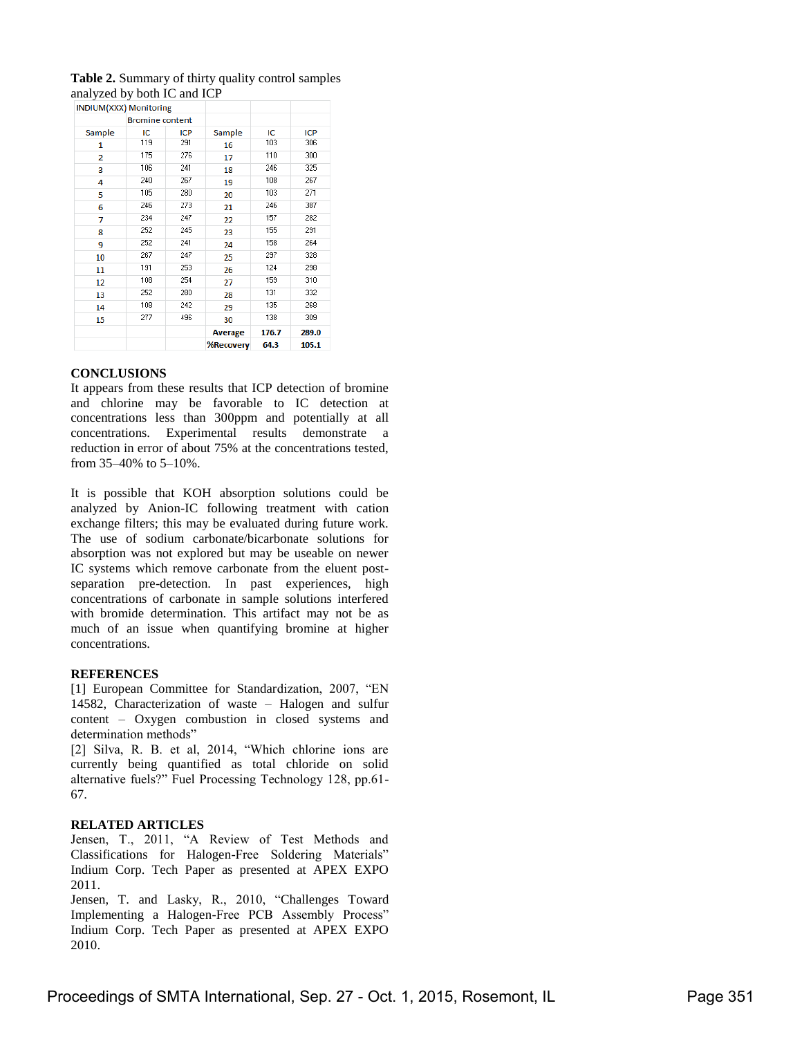| INDIUM(XXX) Monitoring |                        |     |                  |       |            |
|------------------------|------------------------|-----|------------------|-------|------------|
|                        | <b>Bromine content</b> |     |                  |       |            |
| Sample                 | IC<br><b>ICP</b>       |     | Sample           | IC    | <b>ICP</b> |
| 1                      | 119                    | 291 | 16               | 103   | 306        |
| $\overline{2}$         | 175                    | 276 | 17               | 110   | 300        |
| 3                      | 106                    | 241 | 18               | 246   | 325        |
| 4                      | 240                    | 267 | 19               | 108   | 267        |
| 5                      | 105                    | 280 | 20               | 103   | 271        |
| 6                      | 246                    | 273 | 21               | 246   | 387        |
| 7                      | 234                    | 247 | 22               | 157   | 282        |
| 8                      | 252                    | 245 | 23               | 155   | 291        |
| 9                      | 252                    | 241 | 24               | 158   | 264        |
| 10                     | 267                    | 247 | 25               | 297   | 328        |
| 11                     | 191                    | 253 | 26               | 124   | 298        |
| 12                     | 108                    | 254 | 27               | 159   | 310        |
| 13                     | 252                    | 280 | 28               | 131   | 332        |
| 14                     | 108                    | 242 | 29               | 135   | 268        |
| 15                     | 277                    | 496 | 30               | 138   | 309        |
|                        |                        |     | <b>Average</b>   | 176.7 | 289.0      |
|                        |                        |     | <b>%Recovery</b> | 64.3  | 105.1      |

## **Table 2.** Summary of thirty quality control samples analyzed by both IC and ICP

#### **CONCLUSIONS**

It appears from these results that ICP detection of bromine and chlorine may be favorable to IC detection at concentrations less than 300ppm and potentially at all concentrations. Experimental results demonstrate a reduction in error of about 75% at the concentrations tested, from 35–40% to 5–10%.

It is possible that KOH absorption solutions could be analyzed by Anion-IC following treatment with cation exchange filters; this may be evaluated during future work. The use of sodium carbonate/bicarbonate solutions for absorption was not explored but may be useable on newer IC systems which remove carbonate from the eluent postseparation pre-detection. In past experiences, high concentrations of carbonate in sample solutions interfered with bromide determination. This artifact may not be as much of an issue when quantifying bromine at higher concentrations.

#### **REFERENCES**

[1] European Committee for Standardization, 2007, "EN 14582, Characterization of waste – Halogen and sulfur content – Oxygen combustion in closed systems and determination methods"

[2] Silva, R. B. et al, 2014, "Which chlorine ions are currently being quantified as total chloride on solid alternative fuels?" Fuel Processing Technology 128, pp.61- 67.

#### **RELATED ARTICLES**

Jensen, T., 2011, "A Review of Test Methods and Classifications for Halogen-Free Soldering Materials" Indium Corp. Tech Paper as presented at APEX EXPO 2011.

Jensen, T. and Lasky, R., 2010, "Challenges Toward Implementing a Halogen-Free PCB Assembly Process" Indium Corp. Tech Paper as presented at APEX EXPO 2010.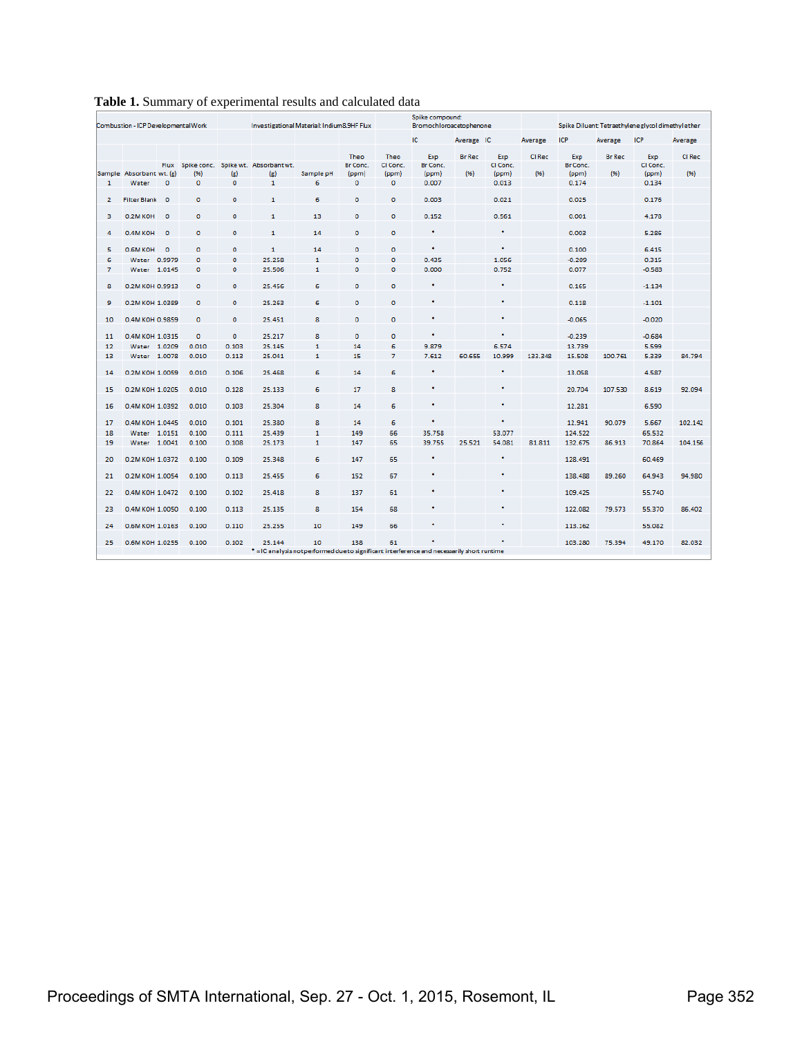|                | Combustion - ICP Developmental Work |         |                        |                               | Investigational Material: Indium8.9HF Flux                                                  |                |             |                      | Spike compound:<br>Bromochloroacetophenone |               |                |         |                |               | Spike Diluent: Tetraethylene glycol dimethyle ther |         |
|----------------|-------------------------------------|---------|------------------------|-------------------------------|---------------------------------------------------------------------------------------------|----------------|-------------|----------------------|--------------------------------------------|---------------|----------------|---------|----------------|---------------|----------------------------------------------------|---------|
|                |                                     |         |                        |                               |                                                                                             |                |             |                      | IC.                                        | Average IC    |                | Average | <b>ICP</b>     | Average       | <b>ICP</b>                                         | Average |
|                |                                     |         |                        |                               |                                                                                             |                | Theo        | Theo                 | Exp                                        | <b>Br</b> Rec | Exp            | CI Rec  | Exp            | <b>Br</b> Rec | Exp                                                | CI Rec  |
|                |                                     |         |                        |                               | Flux Spike conc. Spike wt. Absorbant wt.                                                    |                | Br Conc.    | CI Conc.             | Br Conc.                                   |               | CI Conc.       |         | Br Conc.       |               | CI Conc.                                           |         |
|                | Sample Absorbant wt. (g)<br>Water   | $\circ$ | (96)<br>$\overline{0}$ | $\left( g \right)$<br>$\circ$ | $\left( g \right)$<br>$\mathbf{1}$                                                          | Sample pH<br>6 | (ppm)<br>o  | (ppm)<br>$\mathbf 0$ | ( <sub>ppm</sub> )<br>0.007                | (96)          | (ppm)<br>0.013 | (96)    | (ppm)<br>0.174 | (96)          | (ppm)                                              | (96)    |
| $\mathbf{1}$   |                                     |         |                        |                               |                                                                                             |                |             |                      |                                            |               |                |         |                |               | 0.134                                              |         |
| $\overline{2}$ | <b>Filter Blank</b>                 | $\circ$ | $\mathbf 0$            | $\circ$                       | $\mathbf{1}$                                                                                | 6              | $\Omega$    | $\mathbf{O}$         | 0.003                                      |               | 0.021          |         | 0.025          |               | 0.176                                              |         |
| з              | 0.2M KOH                            | $\circ$ | $\mathbf 0$            | $\circ$                       | 1                                                                                           | 13             | $\circ$     | $\mathbf 0$          | 0.152                                      |               | 0.561          |         | 0.001          |               | 4.178                                              |         |
| 4              | 0.4M KOH                            | $\circ$ | $\mathbf 0$            | $\circ$                       | $\mathbf{1}$                                                                                | 14             | $\circ$     | $\circ$              | ٠                                          |               | ٠              |         | 0.003          |               | 5.286                                              |         |
| 5              | 0.6M KOH                            | $\circ$ | $\circ$                | $\circ$                       | $\mathbf{1}$                                                                                | 14             | $\circ$     | $\circ$              | ٠                                          |               | ٠              |         | 0.100          |               | 6.415                                              |         |
| 6              | Water 0.9979                        |         | $\circ$                | o                             | 25.258                                                                                      | $\mathbf{1}$   | ō           | o                    | 0.435                                      |               | 1.056          |         | $-0.209$       |               | 0.315                                              |         |
| $\overline{7}$ | Water 1.0145                        |         | $\mathbf 0$            | $\circ$                       | 25.506                                                                                      | $\mathbf{1}$   | $\mathbf 0$ | $\bullet$            | 0.000                                      |               | 0.752          |         | 0.077          |               | $-0.583$                                           |         |
|                |                                     |         |                        |                               |                                                                                             |                |             |                      |                                            |               |                |         |                |               |                                                    |         |
| 8              | 0.2M KOH 0.9913                     |         | $\circ$                | $\mathbf{0}$                  | 25.456                                                                                      | 6              | $\circ$     | $\mathbf 0$          | ٠                                          |               | ٠              |         | 0.165          |               | $-1.134$                                           |         |
| 9              | 0.2M KOH 1.0389                     |         | $\circ$                | $\circ$                       | 25.263                                                                                      | 6              | $\mathbf 0$ | $\mathbf 0$          | ٠                                          |               | ٠              |         | 0.118          |               | $-1.101$                                           |         |
| 10             | 0.4M KOH 0.9859                     |         | $\circ$                | $\circ$                       | 25.451                                                                                      | 8              | $\circ$     | $\mathbf 0$          | ٠                                          |               | ٠              |         | $-0.065$       |               | $-0.020$                                           |         |
|                | 0.4M KOH 1.0315                     |         | $\mathbf 0$            | $\Omega$                      | 25.217                                                                                      | 8              | $\Omega$    | $\Omega$             | ٠                                          |               | ٠              |         | $-0.239$       |               | $-0.684$                                           |         |
| 11<br>12       | Water 1.0209                        |         | 0.010                  | 0.103                         | 25.145                                                                                      | $\mathbf{1}$   | 14          | 6                    | 9.879                                      |               | 6.574          |         | 13.739         |               | 5.599                                              |         |
| 13             | Water 1.0078                        |         | 0.010                  | 0.113                         | 25.041                                                                                      | $\mathbf{1}$   | 15          | 7                    | 7.612                                      | 60.655        | 10.999         | 133.348 | 15.508         | 100.761       | 5.339                                              | 84.794  |
|                |                                     |         |                        |                               |                                                                                             |                |             |                      |                                            |               |                |         |                |               |                                                    |         |
| 14             | 0.2M KOH 1.0059                     |         | 0.010                  | 0.106                         | 25.468                                                                                      | 6              | 14          | 6                    | ٠                                          |               | ٠              |         | 13.058         |               | 4.587                                              |         |
| 15             | 0.2M KOH 1.0205                     |         | 0.010                  | 0.128                         | 25.133                                                                                      | 6              | 17          | 8                    | ٠                                          |               | ٠              |         | 20.704         | 107.530       | 8.619                                              | 92.094  |
| 16             | 0.4M KOH 1.0392                     |         | 0.010                  | 0.103                         | 25.304                                                                                      | 8              | 14          | 6                    | ٠                                          |               | ٠              |         | 12.281         |               | 6.590                                              |         |
| 17             | 0.4M KOH 1.0445                     |         | 0.010                  | 0.101                         | 25.380                                                                                      | 8              | 14          | 6                    | ٠                                          |               | ٠              |         | 12.941         | 90.079        | 5.667                                              | 102.142 |
| 18             | Water 1.0151                        |         | 0.100                  | 0.111                         | 25.439                                                                                      | $\mathbf{1}$   | 149         | 66                   | 35.758                                     |               | 53.077         |         | 124.522        |               | 65.532                                             |         |
| 19             | Water 1.0041                        |         | 0.100                  | 0.108                         | 25.173                                                                                      | $\mathbf 1$    | 147         | 65                   | 39.755                                     | 25.521        | 54.081         | 81.811  | 132.675        | 86.913        | 70.864                                             | 104.156 |
| 20             | 0.2M KOH 1.0372                     |         | 0.100                  | 0.109                         | 25.348                                                                                      | 6              | 147         | 65                   | ٠                                          |               | ٠              |         | 128.491        |               | 60.469                                             |         |
| 21             | 0.2M KOH 1.0054                     |         | 0.100                  | 0.113                         | 25.455                                                                                      | 6              | 152         | 67                   | ٠                                          |               | ٠              |         | 138.488        | 89.260        | 64.943                                             | 94.980  |
| 22             | 0.4M KOH 1.0472                     |         | 0.100                  | 0.102                         | 25.418                                                                                      | 8              | 137         | 61                   | ٠                                          |               | ٠              |         | 109.425        |               | 55.740                                             |         |
|                |                                     |         |                        |                               |                                                                                             |                |             |                      |                                            |               |                |         |                |               |                                                    |         |
| 23             | 0.4M KOH 1.0050                     |         | 0.100                  | 0.113                         | 25.135                                                                                      | 8              | 154         | 68                   | ٠                                          |               | ٠              |         | 122.082        | 79.573        | 55.370                                             | 86.402  |
| 24             | 0.6M KOH 1.0163                     |         | 0.100                  | 0.110                         | 25.255                                                                                      | 10             | 149         | 66                   |                                            |               | ٠              |         | 113.162        |               | 55.082                                             |         |
| 25             | 0.6M KOH 1.0255                     |         | 0.100                  | 0.102                         | 25.144                                                                                      | 10             | 138         | 61                   |                                            |               |                |         | 103.280        | 75.394        | 49.170                                             | 82.032  |
|                |                                     |         |                        |                               | * = IC analysis not performed due to significant interference and necessarily short runtime |                |             |                      |                                            |               |                |         |                |               |                                                    |         |

## **Table 1.** Summary of experimental results and calculated data